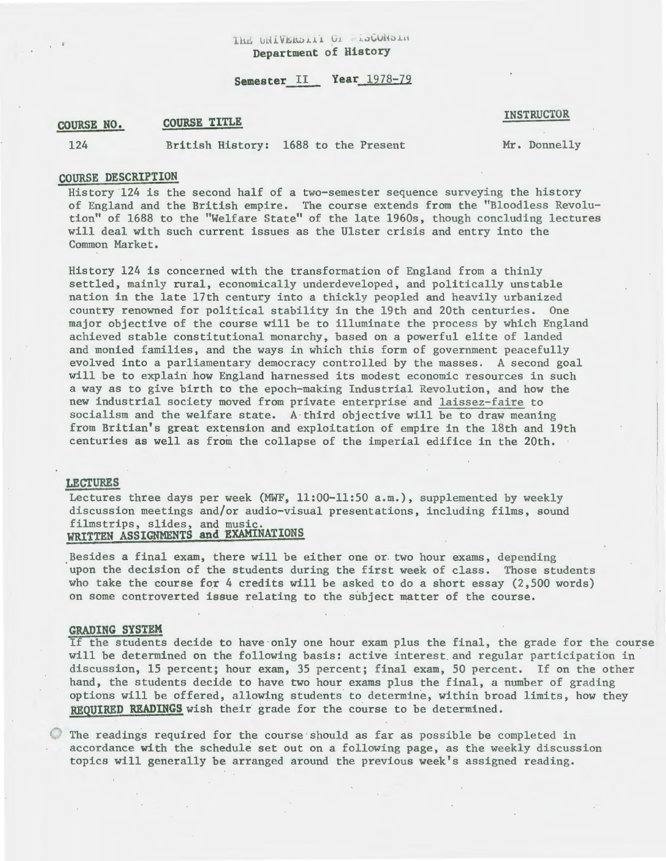IhE UNIVERDIAL OF - LOCONSIN Department of History

# Semester II Year 1978-79

#### COURSE NO. COURSE TITLE

INSTRUCTOR

124

British History: 1688 to the Present

Mr. Donnelly

## COURSE DESCRIPTION

History 124 is the second half of a two-semester sequence surveying the history of England and the British empire. The course extends from the "Bloodless Revolution" of 1688 to the "Welfare State" of the late 1960s, though concluding lectures will deal with such current issues as the Ulster crisis and entry into the Common Market.

History 124 is concerned with the transformation of England from a thinly settled, mainly rural, economically underdeveloped, and politically unstable nation in the late 17th century into a thickly peopled and heavily urbanized country renowned for political stability in the 19th and 20th centuries. One major objective of the course will be to illuminate the process by which England achieved stable constitutional monarchy, based on a powerful elite of landed and monied families, and the ways in which this form of government peacefully evolved into a parliamentary democracy controlled by the masses. A second goal will be to explain how England harnessed its modest economic resources in such a way as to give birth to the epoch-making Industrial Revolution, and how the new industrial society moved from private enterprise and laissez-faire to socialism and the welfare state. A third objective will be to draw meaning from Britian's great extension and exploitation of empire in the 18th and 19th centuries as well as from the collapse of the imperial edifice in the 20th.

### LECTURES

Lectures three days per week (MWF, 11:00-11:50 a.m.), supplemented by weekly discussion meetings and/or audio-visual presentations, including films, sound filmstrips, slides, and music. WRITTEN ASSIGNMENTS and EXAMINATIONS

Besides a final exam, there will be either one or. two hour exams, depending upon the decision of the students during the first week of class. Those students who take the course for 4 credits will be asked to do a short essay  $(2,500 \text{ words})$ on some controverted issue relating to the subject matter of the course.

#### GRADING SYSTEM

If the students decide to have only one hour exam plus the final, the grade for the course will be determined on the following basis: active interest. and regular participation in discussion, 15 percent; hour exam, 35 percent; final exam, 50 percent. If on the other hand, the students decide to have two hour exams plus the final, a number of grading options will be offered, allowing students to determine, within broad limits, how they REQUIRED READINGS wish their grade for the course to be determined.

The readings required for the course should as far as possible be completed in accordance with the schedule set out on a following page, as the weekly discussion topics will generally be arranged around the previous week's assigned reading.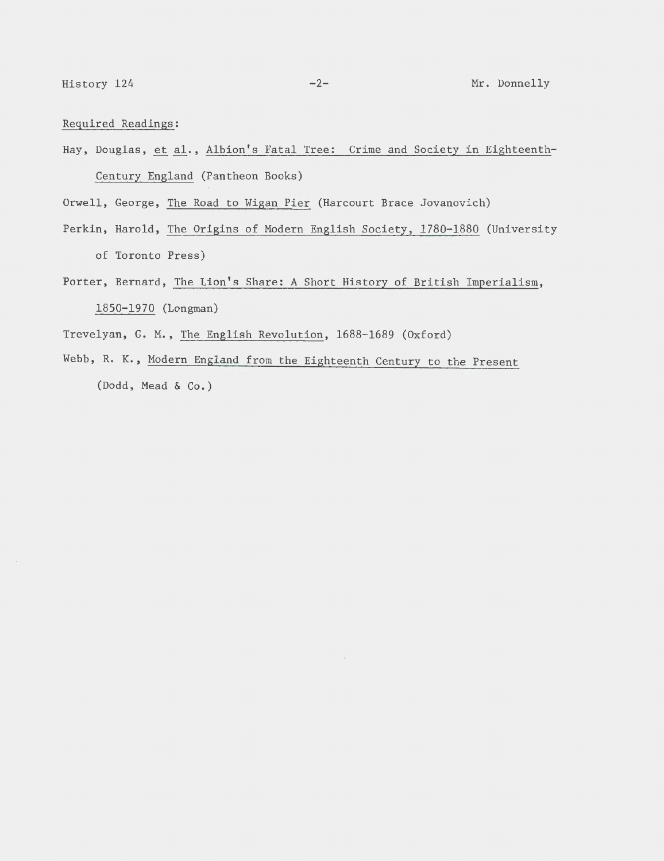Required Readings:

Hay, Douglas, et al., Albion's Fatal Tree: Crime and Society in Eighteenth-Century England (Pantheon Books)

Orwell, George, The Road to Wigan Pier (Harcourt Brace Jovanovich)

- Perkin, Harold, The Origins of Modern English Society, 1780-1880 (University of Toronto Press)
- Porter, Bernard, The Lion's Share: A Short History of British Imperialism, 1850-1970 (Longman)
- Trevelyan, G. M., The English Revolution, 1688-1689 (Oxford)
- Webb, R. K., Modern England from the Eighteenth Century to the Present (Dodd, Mead & Co.)

 $\bar{z}$